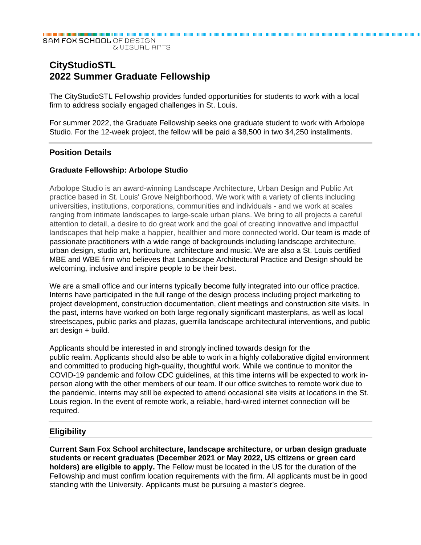#### SAM FOX SCHOOL OF DESIGN **EVISUAL APTS**

# **CityStudioSTL 2022 Summer Graduate Fellowship**

The CityStudioSTL Fellowship provides funded opportunities for students to work with a local firm to address socially engaged challenges in St. Louis.

For summer 2022, the Graduate Fellowship seeks one graduate student to work with Arbolope Studio. For the 12-week project, the fellow will be paid a \$8,500 in two \$4,250 installments.

## **Position Details**

### **Graduate Fellowship: Arbolope Studio**

Arbolope Studio is an award-winning Landscape Architecture, Urban Design and Public Art practice based in St. Louis' Grove Neighborhood. We work with a variety of clients including universities, institutions, corporations, communities and individuals - and we work at scales ranging from intimate landscapes to large-scale urban plans. We bring to all projects a careful attention to detail, a desire to do great work and the goal of creating innovative and impactful landscapes that help make a happier, healthier and more connected world. Our team is made of passionate practitioners with a wide range of backgrounds including landscape architecture, urban design, studio art, horticulture, architecture and music. We are also a St. Louis certified MBE and WBE firm who believes that Landscape Architectural Practice and Design should be welcoming, inclusive and inspire people to be their best.

We are a small office and our interns typically become fully integrated into our office practice. Interns have participated in the full range of the design process including project marketing to project development, construction documentation, client meetings and construction site visits. In the past, interns have worked on both large regionally significant masterplans, as well as local streetscapes, public parks and plazas, guerrilla landscape architectural interventions, and public art design + build.

Applicants should be interested in and strongly inclined towards design for the public realm. Applicants should also be able to work in a highly collaborative digital environment and committed to producing high-quality, thoughtful work. While we continue to monitor the COVID-19 pandemic and follow CDC guidelines, at this time interns will be expected to work inperson along with the other members of our team. If our office switches to remote work due to the pandemic, interns may still be expected to attend occasional site visits at locations in the St. Louis region. In the event of remote work, a reliable, hard-wired internet connection will be required.

### **Eligibility**

**Current Sam Fox School architecture, landscape architecture, or urban design graduate students or recent graduates (December 2021 or May 2022, US citizens or green card holders) are eligible to apply.** The Fellow must be located in the US for the duration of the Fellowship and must confirm location requirements with the firm. All applicants must be in good standing with the University. Applicants must be pursuing a master's degree.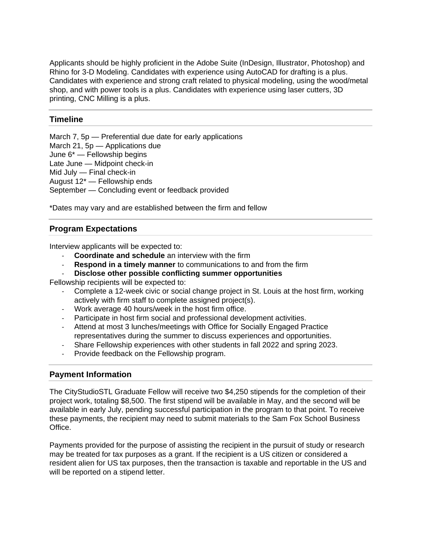Applicants should be highly proficient in the Adobe Suite (InDesign, Illustrator, Photoshop) and Rhino for 3-D Modeling. Candidates with experience using AutoCAD for drafting is a plus. Candidates with experience and strong craft related to physical modeling, using the wood/metal shop, and with power tools is a plus. Candidates with experience using laser cutters, 3D printing, CNC Milling is a plus.

## **Timeline**

March 7, 5p — Preferential due date for early applications

March 21, 5p — Applications due

June 6\* — Fellowship begins

Late June — Midpoint check-in

Mid July — Final check-in

August 12\* — Fellowship ends

September — Concluding event or feedback provided

\*Dates may vary and are established between the firm and fellow

## **Program Expectations**

Interview applicants will be expected to:

- ‐ **Coordinate and schedule** an interview with the firm
- ‐ **Respond in a timely manner** to communications to and from the firm
- ‐ **Disclose other possible conflicting summer opportunities**

Fellowship recipients will be expected to:

- ‐ Complete a 12-week civic or social change project in St. Louis at the host firm, working actively with firm staff to complete assigned project(s).
- ‐ Work average 40 hours/week in the host firm office.
- ‐ Participate in host firm social and professional development activities.
- ‐ Attend at most 3 lunches/meetings with Office for Socially Engaged Practice representatives during the summer to discuss experiences and opportunities.
- ‐ Share Fellowship experiences with other students in fall 2022 and spring 2023.
- ‐ Provide feedback on the Fellowship program.

## **Payment Information**

The CityStudioSTL Graduate Fellow will receive two \$4,250 stipends for the completion of their project work, totaling \$8,500. The first stipend will be available in May, and the second will be available in early July, pending successful participation in the program to that point. To receive these payments, the recipient may need to submit materials to the Sam Fox School Business Office.

Payments provided for the purpose of assisting the recipient in the pursuit of study or research may be treated for tax purposes as a grant. If the recipient is a US citizen or considered a resident alien for US tax purposes, then the transaction is taxable and reportable in the US and will be reported on a stipend letter.